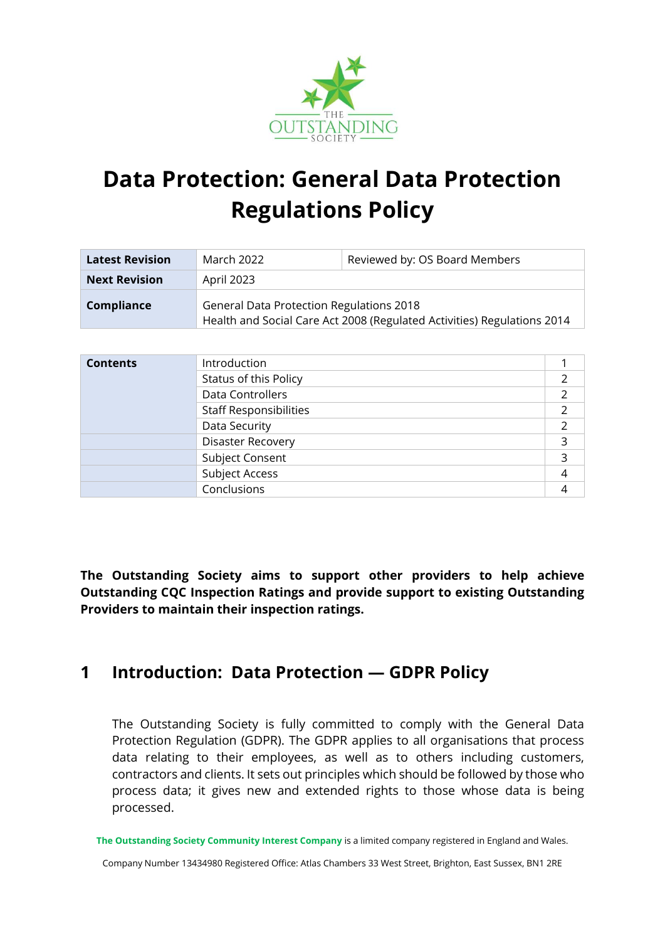

# **Data Protection: General Data Protection Regulations Policy**

| <b>Latest Revision</b> | March 2022                                                                                                                 | Reviewed by: OS Board Members |  |
|------------------------|----------------------------------------------------------------------------------------------------------------------------|-------------------------------|--|
| <b>Next Revision</b>   | April 2023                                                                                                                 |                               |  |
| <b>Compliance</b>      | <b>General Data Protection Regulations 2018</b><br>Health and Social Care Act 2008 (Regulated Activities) Regulations 2014 |                               |  |

| <b>Contents</b> | Introduction                  |  |
|-----------------|-------------------------------|--|
|                 | Status of this Policy         |  |
|                 | Data Controllers              |  |
|                 | <b>Staff Responsibilities</b> |  |
|                 | Data Security                 |  |
|                 | <b>Disaster Recovery</b>      |  |
|                 | Subject Consent               |  |
|                 | Subject Access                |  |
|                 | Conclusions                   |  |
|                 |                               |  |

**The Outstanding Society aims to support other providers to help achieve Outstanding CQC Inspection Ratings and provide support to existing Outstanding Providers to maintain their inspection ratings.**

# **1 Introduction: Data Protection — GDPR Policy**

The Outstanding Society is fully committed to comply with the General Data Protection Regulation (GDPR). The GDPR applies to all organisations that process data relating to their employees, as well as to others including customers, contractors and clients. It sets out principles which should be followed by those who process data; it gives new and extended rights to those whose data is being processed.

**The Outstanding Society Community Interest Company** is a limited company registered in England and Wales.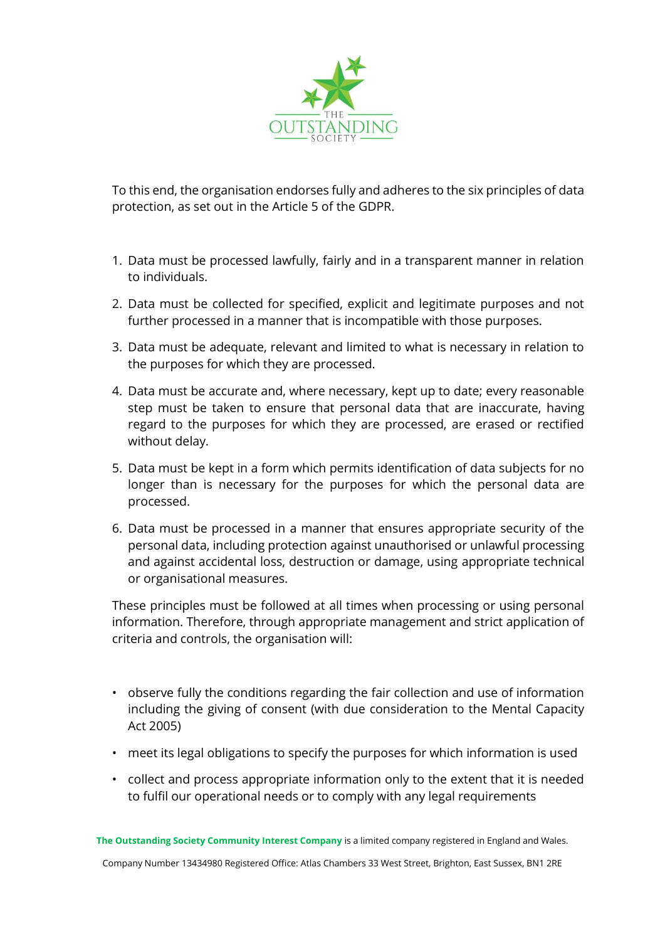

To this end, the organisation endorses fully and adheres to the six principles of data protection, as set out in the Article 5 of the GDPR.

- 1. Data must be processed lawfully, fairly and in a transparent manner in relation to individuals.
- 2. Data must be collected for specified, explicit and legitimate purposes and not further processed in a manner that is incompatible with those purposes.
- 3. Data must be adequate, relevant and limited to what is necessary in relation to the purposes for which they are processed.
- 4. Data must be accurate and, where necessary, kept up to date; every reasonable step must be taken to ensure that personal data that are inaccurate, having regard to the purposes for which they are processed, are erased or rectified without delay.
- 5. Data must be kept in a form which permits identification of data subjects for no longer than is necessary for the purposes for which the personal data are processed.
- 6. Data must be processed in a manner that ensures appropriate security of the personal data, including protection against unauthorised or unlawful processing and against accidental loss, destruction or damage, using appropriate technical or organisational measures.

These principles must be followed at all times when processing or using personal information. Therefore, through appropriate management and strict application of criteria and controls, the organisation will:

- observe fully the conditions regarding the fair collection and use of information including the giving of consent (with due consideration to the Mental Capacity Act 2005)
- meet its legal obligations to specify the purposes for which information is used
- collect and process appropriate information only to the extent that it is needed to fulfil our operational needs or to comply with any legal requirements

**The Outstanding Society Community Interest Company** is a limited company registered in England and Wales.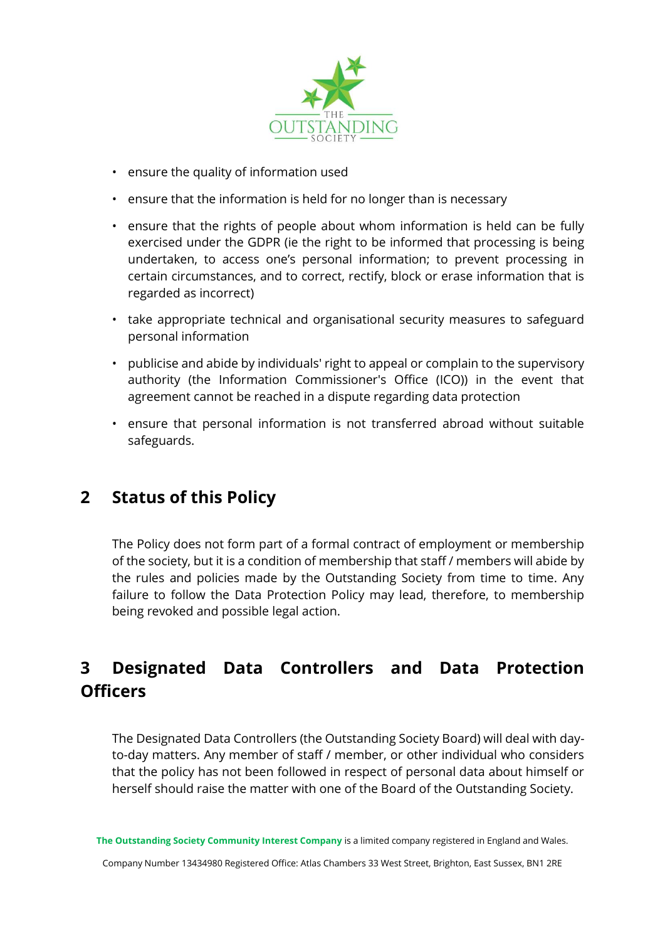

- ensure the quality of information used
- ensure that the information is held for no longer than is necessary
- ensure that the rights of people about whom information is held can be fully exercised under the GDPR (ie the right to be informed that processing is being undertaken, to access one's personal information; to prevent processing in certain circumstances, and to correct, rectify, block or erase information that is regarded as incorrect)
- take appropriate technical and organisational security measures to safeguard personal information
- publicise and abide by individuals' right to appeal or complain to the supervisory authority (the Information Commissioner's Office (ICO)) in the event that agreement cannot be reached in a dispute regarding data protection
- ensure that personal information is not transferred abroad without suitable safeguards.

#### **2 Status of this Policy**

The Policy does not form part of a formal contract of employment or membership of the society, but it is a condition of membership that staff / members will abide by the rules and policies made by the Outstanding Society from time to time. Any failure to follow the Data Protection Policy may lead, therefore, to membership being revoked and possible legal action.

# **3 Designated Data Controllers and Data Protection Officers**

The Designated Data Controllers (the Outstanding Society Board) will deal with dayto-day matters. Any member of staff / member, or other individual who considers that the policy has not been followed in respect of personal data about himself or herself should raise the matter with one of the Board of the Outstanding Society.

**The Outstanding Society Community Interest Company** is a limited company registered in England and Wales.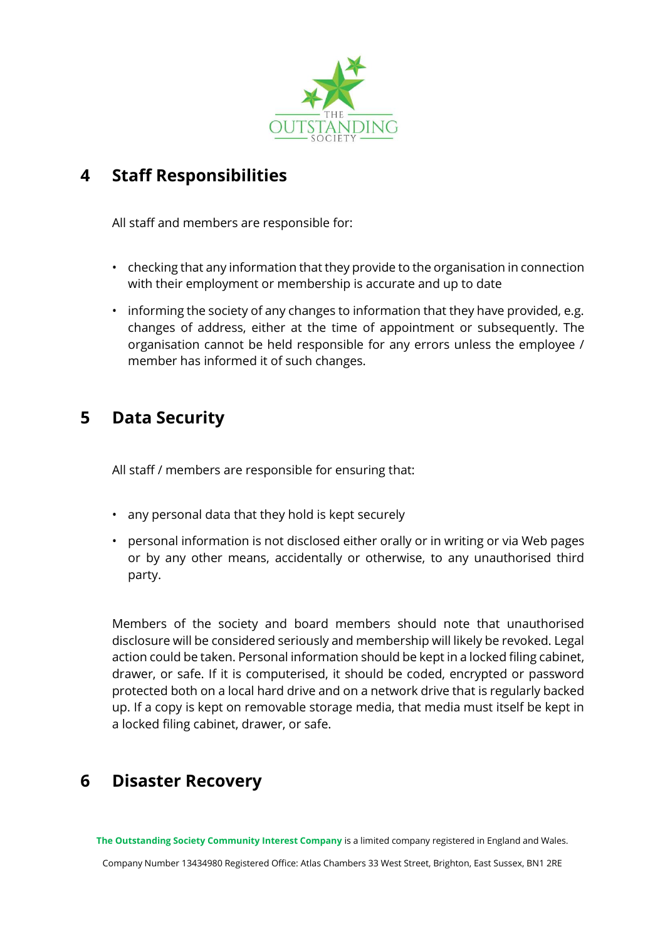

### **4 Staff Responsibilities**

All staff and members are responsible for:

- checking that any information that they provide to the organisation in connection with their employment or membership is accurate and up to date
- informing the society of any changes to information that they have provided, e.g. changes of address, either at the time of appointment or subsequently. The organisation cannot be held responsible for any errors unless the employee / member has informed it of such changes.

#### **5 Data Security**

All staff / members are responsible for ensuring that:

- any personal data that they hold is kept securely
- personal information is not disclosed either orally or in writing or via Web pages or by any other means, accidentally or otherwise, to any unauthorised third party.

Members of the society and board members should note that unauthorised disclosure will be considered seriously and membership will likely be revoked. Legal action could be taken. Personal information should be kept in a locked filing cabinet, drawer, or safe. If it is computerised, it should be coded, encrypted or password protected both on a local hard drive and on a network drive that is regularly backed up. If a copy is kept on removable storage media, that media must itself be kept in a locked filing cabinet, drawer, or safe.

# **6 Disaster Recovery**

**The Outstanding Society Community Interest Company** is a limited company registered in England and Wales.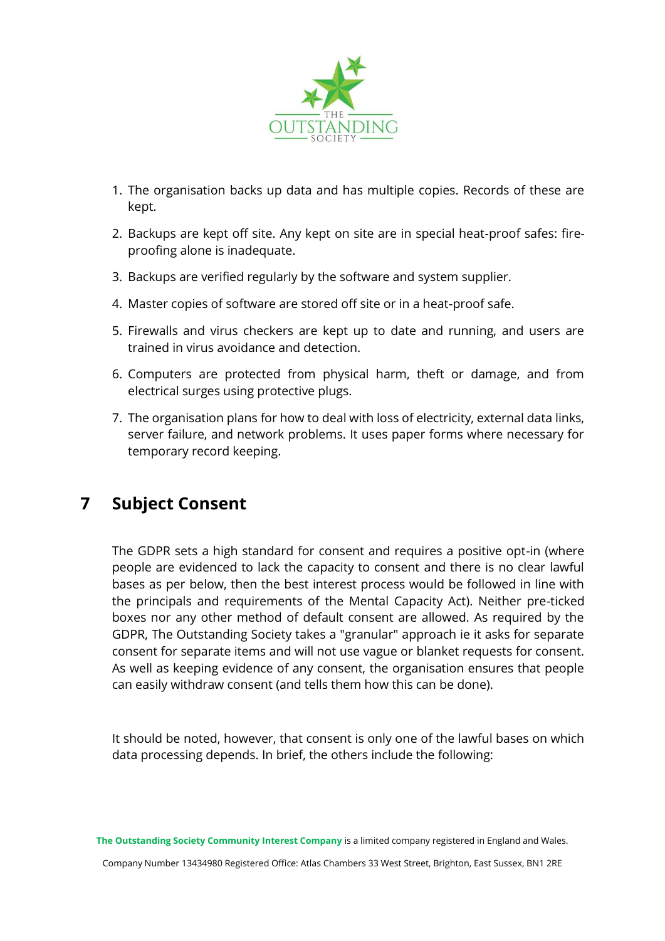

- 1. The organisation backs up data and has multiple copies. Records of these are kept.
- 2. Backups are kept off site. Any kept on site are in special heat-proof safes: fireproofing alone is inadequate.
- 3. Backups are verified regularly by the software and system supplier.
- 4. Master copies of software are stored off site or in a heat-proof safe.
- 5. Firewalls and virus checkers are kept up to date and running, and users are trained in virus avoidance and detection.
- 6. Computers are protected from physical harm, theft or damage, and from electrical surges using protective plugs.
- 7. The organisation plans for how to deal with loss of electricity, external data links, server failure, and network problems. It uses paper forms where necessary for temporary record keeping.

# **7 Subject Consent**

The GDPR sets a high standard for consent and requires a positive opt-in (where people are evidenced to lack the capacity to consent and there is no clear lawful bases as per below, then the best interest process would be followed in line with the principals and requirements of the Mental Capacity Act). Neither pre-ticked boxes nor any other method of default consent are allowed. As required by the GDPR, The Outstanding Society takes a "granular" approach ie it asks for separate consent for separate items and will not use vague or blanket requests for consent. As well as keeping evidence of any consent, the organisation ensures that people can easily withdraw consent (and tells them how this can be done).

It should be noted, however, that consent is only one of the lawful bases on which data processing depends. In brief, the others include the following:

**The Outstanding Society Community Interest Company** is a limited company registered in England and Wales.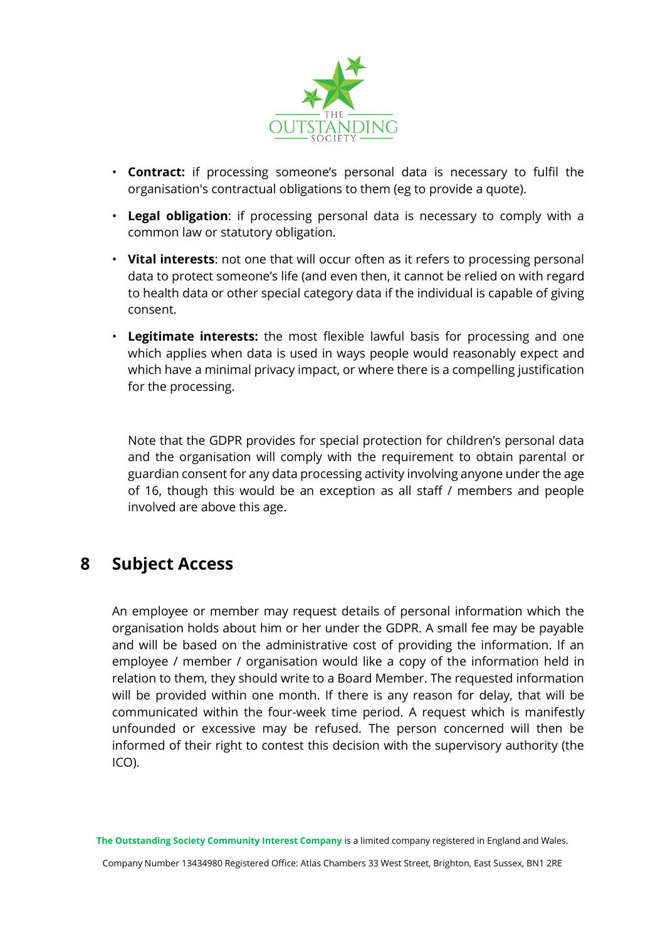

- **Contract:** if processing someone's personal data is necessary to fulfil the organisation's contractual obligations to them (eg to provide a quote).
- **Legal obligation**: if processing personal data is necessary to comply with a common law or statutory obligation.
- **Vital interests**: not one that will occur often as it refers to processing personal data to protect someone's life (and even then, it cannot be relied on with regard to health data or other special category data if the individual is capable of giving consent.
- **Legitimate interests:** the most flexible lawful basis for processing and one which applies when data is used in ways people would reasonably expect and which have a minimal privacy impact, or where there is a compelling justification for the processing.

Note that the GDPR provides for special protection for children's personal data and the organisation will comply with the requirement to obtain parental or guardian consent for any data processing activity involving anyone under the age of 16, though this would be an exception as all staff / members and people involved are above this age.

#### **8 Subject Access**

An employee or member may request details of personal information which the organisation holds about him or her under the GDPR. A small fee may be payable and will be based on the administrative cost of providing the information. If an employee / member / organisation would like a copy of the information held in relation to them, they should write to a Board Member. The requested information will be provided within one month. If there is any reason for delay, that will be communicated within the four-week time period. A request which is manifestly unfounded or excessive may be refused. The person concerned will then be informed of their right to contest this decision with the supervisory authority (the ICO).

**The Outstanding Society Community Interest Company** is a limited company registered in England and Wales.